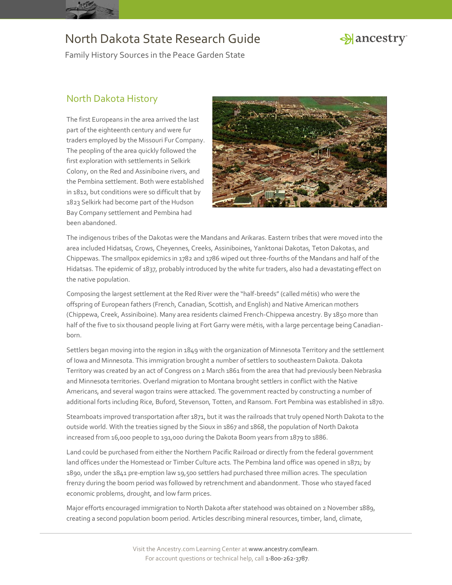



Family History Sources in the Peace Garden State

#### North Dakota History

The first Europeans in the area arrived the last part of the eighteenth century and were fur traders employed by the Missouri Fur Company. The peopling of the area quickly followed the first exploration with settlements in Selkirk Colony, on the Red and Assiniboine rivers, and the Pembina settlement. Both were established in 1812, but conditions were so difficult that by 1823 Selkirk had become part of the Hudson Bay Company settlement and Pembina had been abandoned.



The indigenous tribes of the Dakotas were the Mandans and Arikaras. Eastern tribes that were moved into the area included Hidatsas, Crows, Cheyennes, Creeks, Assiniboines, Yanktonai Dakotas, Teton Dakotas, and Chippewas. The smallpox epidemics in 1782 and 1786 wiped out three-fourths of the Mandans and half of the Hidatsas. The epidemic of 1837, probably introduced by the white fur traders, also had a devastating effect on the native population.

Composing the largest settlement at the Red River were the "half-breeds" (called métis) who were the offspring of European fathers (French, Canadian, Scottish, and English) and Native American mothers (Chippewa, Creek, Assiniboine). Many area residents claimed French-Chippewa ancestry. By 1850 more than half of the five to six thousand people living at Fort Garry were métis, with a large percentage being Canadianborn.

Settlers began moving into the region in 1849 with the organization of Minnesota Territory and the settlement of Iowa and Minnesota. This immigration brought a number of settlers to southeastern Dakota. Dakota Territory was created by an act of Congress on 2 March 1861 from the area that had previously been Nebraska and Minnesota territories. Overland migration to Montana brought settlers in conflict with the Native Americans, and several wagon trains were attacked. The government reacted by constructing a number of additional forts including Rice, Buford, Stevenson, Totten, and Ransom. Fort Pembina was established in 1870.

Steamboats improved transportation after 1871, but it was the railroads that truly opened North Dakota to the outside world. With the treaties signed by the Sioux in 1867 and 1868, the population of North Dakota increased from 16,000 people to 191,000 during the Dakota Boom years from 1879 to 1886.

Land could be purchased from either the Northern Pacific Railroad or directly from the federal government land offices under the Homestead or Timber Culture acts. The Pembina land office was opened in 1871; by 1890, under the 1841 pre-emption law 19,500 settlers had purchased three million acres. The speculation frenzy during the boom period was followed by retrenchment and abandonment. Those who stayed faced economic problems, drought, and low farm prices.

Major efforts encouraged immigration to North Dakota after statehood was obtained on 2 November 1889, creating a second population boom period. Articles describing mineral resources, timber, land, climate,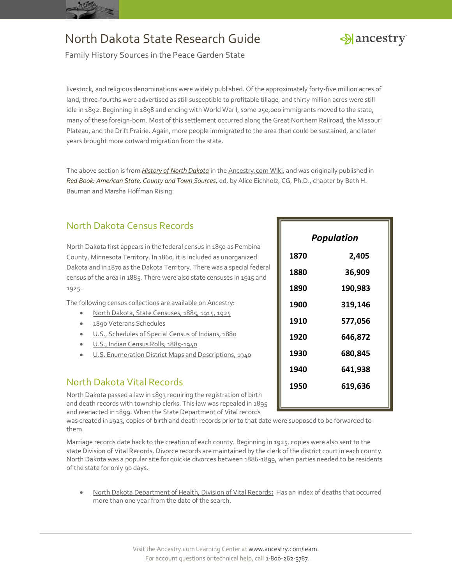



Family History Sources in the Peace Garden State

livestock, and religious denominations were widely published. Of the approximately forty-five million acres of land, three-fourths were advertised as still susceptible to profitable tillage, and thirty million acres were still idle in 1892. Beginning in 1898 and ending with World War I, some 250,000 immigrants moved to the state, many of these foreign-born. Most of this settlement occurred along the Great Northern Railroad, the Missouri Plateau, and the Drift Prairie. Again, more people immigrated to the area than could be sustained, and later years brought more outward migration from the state.

The above section is from *[History of North Dakota](http://www.ancestry.com/wiki/index.php?title=History_of_North_Dakota)* in th[e Ancestry.com Wiki,](http://www.ancestry.com/wiki/index.php?title=Main_Page) and was originally published in *[Red Book: American State, County and Town Sources,](http://bit.ly/vzy0vW)* ed. by Alice Eichholz, CG, Ph.D., chapter by Beth H. Bauman and Marsha Hoffman Rising.

## North Dakota Census Records

North Dakota first appears in the federal census in 1850 as Pembina County, Minnesota Territory. In 1860, it is included as unorganized Dakota and in 1870 as the Dakota Territory. There was a special federal census of the area in 1885. There were also state censuses in 1915 and 1925.

The following census collections are available on Ancestry:

- [North Dakota, State Censuses, 1885, 1915, 1925](http://search.ancestry.com/search/db.aspx?dbid=1078)
- [1890 Veterans Schedules](http://search.ancestry.com/search/db.aspx?dbid=8667)
- [U.S., Schedules of Special Census of Indians, 1880](http://search.ancestry.com/search/db.aspx?dbid=2973)
- [U.S., Indian Census Rolls, 1885-1940](http://search.ancestry.com/search/db.aspx?dbid=1059)
- [U.S. Enumeration District Maps and Descriptions, 1940](http://search.ancestry.com/search/db.aspx?dbid=3028)

#### North Dakota Vital Records

North Dakota passed a law in 1893 requiring the registration of birth and death records with township clerks. This law was repealed in 1895 and reenacted in 1899. When the State Department of Vital records

was created in 1923, copies of birth and death records prior to that date were supposed to be forwarded to them.

Marriage records date back to the creation of each county. Beginning in 1925, copies were also sent to the state Division of Vital Records. Divorce records are maintained by the clerk of the district court in each county. North Dakota was a popular site for quickie divorces between 1886-1899, when parties needed to be residents of the state for only 90 days.

 [North Dakota Department of Health, Division of Vital Records](http://ndhealth.gov/vital/)**:** Has an index of deaths that occurred more than one year from the date of the search.

|   | <b>Population</b> |         |
|---|-------------------|---------|
|   | 1870              | 2,405   |
| ı | 1880              | 36,909  |
|   | 1890              | 190,983 |
|   | 1900              | 319,146 |
|   | 1910              | 577,056 |
|   | 1920              | 646,872 |
|   | 1930              | 680,845 |
|   | 1940              | 641,938 |
|   | 1950              | 619,636 |
|   |                   |         |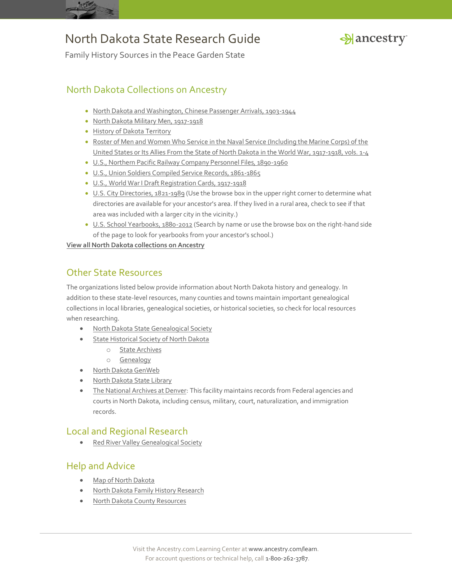



Family History Sources in the Peace Garden State

### North Dakota Collections on Ancestry

- [North Dakota and Washington, Chinese Passenger Arrivals, 1903-1944](http://search.ancestry.com/search/db.aspx?dbid=2033)
- [North Dakota Military Men, 1917-1918](http://search.ancestry.com/search/db.aspx?dbid=4569)
- **[History of Dakota Territory](http://search.ancestry.com/search/db.aspx?dbid=25507)**
- [Roster of Men and Women Who Service in the Naval Service \(Including the Marine Corps\) of the](http://search.ancestry.com/search/db.aspx?dbid=31404)  [United States or Its Allies From the State of North Dakota in the World War, 1917-1918, vols. 1-4](http://search.ancestry.com/search/db.aspx?dbid=31404)
- [U.S., Northern Pacific Railway Company Personnel Files, 1890-1960](http://search.ancestry.com/search/db.aspx?dbid=2157)
- [U.S., Union Soldiers Compiled Service Records, 1861-1865](http://search.ancestry.com/search/db.aspx?dbid=2344)
- [U.S., World War I Draft Registration Cards, 1917-1918](http://search.ancestry.com/search/db.aspx?dbid=6482)
- [U.S. City Directories, 1821-1989](http://search.ancestry.com/search/db.aspx?dbid=2469) (Use the browse box in the upper right corner to determine what directories are available for your ancestor's area. If they lived in a rural area, check to see if that area was included with a larger city in the vicinity.)
- [U.S. School Yearbooks, 1880-2012](http://search.ancestry.com/search/db.aspx?dbid=1265) (Search by name or use the browse box on the right-hand side of the page to look for yearbooks from your ancestor's school.)

**[View all North Dakota collections on Ancestry](http://search.ancestry.com/Places/US/North-Dakota/Default.aspx)**

#### Other State Resources

The organizations listed below provide information about North Dakota history and genealogy. In addition to these state-level resources, many counties and towns maintain important genealogical collections in local libraries, genealogical societies, or historical societies, so check for local resources when researching.

- [North Dakota State Genealogical Society](http://www.rootsweb.ancestry.com/~ndsgs/)
- **[State Historical Society of North Dakota](http://history.nd.gov/)** 
	- o [State Archives](http://history.nd.gov/archives/)
	- o [Genealogy](http://history.nd.gov/archives/genealogy.html)
- [North Dakota GenWeb](http://www.ndgenweb.org/)
- [North Dakota State Library](http://www.library.nd.gov/index.html)
- [The National Archives at Denver:](http://www.archives.gov/denver/) This facility maintains records from Federal agencies and courts in North Dakota, including census, military, court, naturalization, and immigration records.

### Local and Regional Research

• [Red River Valley Genealogical Society](http://www.redrivergenealogy.com/)

### Help and Advice

- [Map of North Dakota](http://www.ancestry.com/wiki/index.php?title=Map_of_North_Dakota)
- [North Dakota Family History Research](http://www.ancestry.com/wiki/index.php?title=North_Dakota_Family_History_Research)
- [North Dakota County Resources](http://www.ancestry.com/wiki/index.php?title=North_Dakota_County_Resources)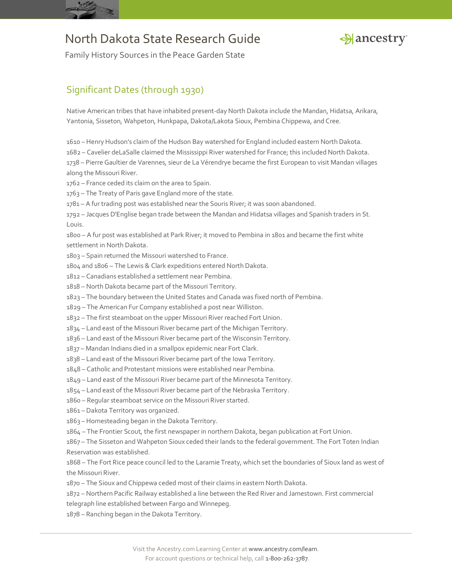



Family History Sources in the Peace Garden State

## Significant Dates (through 1930)

Native American tribes that have inhabited present-day North Dakota include the Mandan, Hidatsa, Arikara, Yantonia, Sisseton, Wahpeton, Hunkpapa, Dakota/Lakota Sioux, Pembina Chippewa, and Cree.

– Henry Hudson's claim of the Hudson Bay watershed for England included eastern North Dakota.

– Cavelier deLaSalle claimed the Mississippi River watershed for France; this included North Dakota.

 – Pierre Gaultier de Varennes, sieur de La Vérendrye became the first European to visit Mandan villages along the Missouri River.

– France ceded its claim on the area to Spain.

– The Treaty of Paris gave England more of the state.

– A fur trading post was established near the Souris River; it was soon abandoned.

 – Jacques D'Englise began trade between the Mandan and Hidatsa villages and Spanish traders in St. Louis.

 – A fur post was established at Park River; it moved to Pembina in 1801 and became the first white settlement in North Dakota.

– Spain returned the Missouri watershed to France.

1804 and 1806 – The Lewis & Clark expeditions entered North Dakota.

– Canadians established a settlement near Pembina.

– North Dakota became part of the Missouri Territory.

– The boundary between the United States and Canada was fixed north of Pembina.

– The American Fur Company established a post near Williston.

– The first steamboat on the upper Missouri River reached Fort Union.

– Land east of the Missouri River became part of the Michigan Territory.

– Land east of the Missouri River became part of the Wisconsin Territory.

– Mandan Indians died in a smallpox epidemic near Fort Clark.

– Land east of the Missouri River became part of the Iowa Territory.

– Catholic and Protestant missions were established near Pembina.

– Land east of the Missouri River became part of the Minnesota Territory.

– Land east of the Missouri River became part of the Nebraska Territory.

– Regular steamboat service on the Missouri River started.

– Dakota Territory was organized.

– Homesteading began in the Dakota Territory.

– The Frontier Scout, the first newspaper in northern Dakota, began publication at Fort Union.

 – The Sisseton and Wahpeton Sioux ceded their lands to the federal government. The Fort Toten Indian Reservation was established.

 – The Fort Rice peace council led to the Laramie Treaty, which set the boundaries of Sioux land as west of the Missouri River.

– The Sioux and Chippewa ceded most of their claims in eastern North Dakota.

 – Northern Pacific Railway established a line between the Red River and Jamestown. First commercial telegraph line established between Fargo and Winnepeg.

– Ranching began in the Dakota Territory.